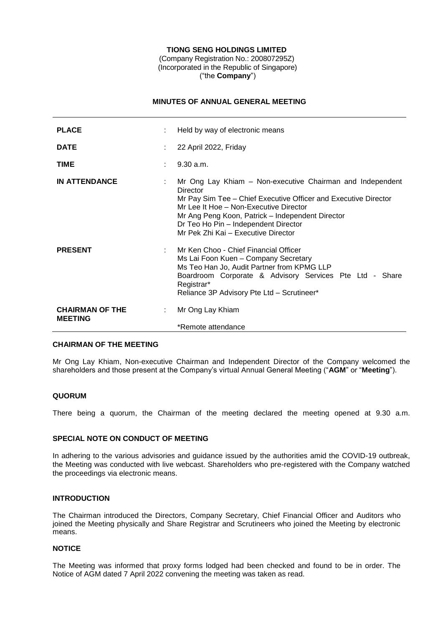## **TIONG SENG HOLDINGS LIMITED**

(Company Registration No.: 200807295Z) (Incorporated in the Republic of Singapore) ("the **Company**")

## **MINUTES OF ANNUAL GENERAL MEETING**

| <b>PLACE</b>                             |    | Held by way of electronic means                                                                                                                                                                                                                                                                                       |
|------------------------------------------|----|-----------------------------------------------------------------------------------------------------------------------------------------------------------------------------------------------------------------------------------------------------------------------------------------------------------------------|
| <b>DATE</b>                              |    | 22 April 2022, Friday                                                                                                                                                                                                                                                                                                 |
| <b>TIME</b>                              |    | 9.30 a.m.                                                                                                                                                                                                                                                                                                             |
| <b>IN ATTENDANCE</b>                     |    | Mr Ong Lay Khiam - Non-executive Chairman and Independent<br>Director<br>Mr Pay Sim Tee - Chief Executive Officer and Executive Director<br>Mr Lee It Hoe - Non-Executive Director<br>Mr Ang Peng Koon, Patrick – Independent Director<br>Dr Teo Ho Pin - Independent Director<br>Mr Pek Zhi Kai - Executive Director |
| <b>PRESENT</b>                           |    | Mr Ken Choo - Chief Financial Officer<br>Ms Lai Foon Kuen - Company Secretary<br>Ms Teo Han Jo, Audit Partner from KPMG LLP<br>Boardroom Corporate & Advisory Services Pte Ltd - Share<br>Registrar*<br>Reliance 3P Advisory Pte Ltd - Scrutineer*                                                                    |
| <b>CHAIRMAN OF THE</b><br><b>MEETING</b> | ÷. | Mr Ong Lay Khiam<br>*Remote attendance                                                                                                                                                                                                                                                                                |
|                                          |    |                                                                                                                                                                                                                                                                                                                       |

### **CHAIRMAN OF THE MEETING**

Mr Ong Lay Khiam, Non-executive Chairman and Independent Director of the Company welcomed the shareholders and those present at the Company's virtual Annual General Meeting ("**AGM**" or "**Meeting**").

## **QUORUM**

There being a quorum, the Chairman of the meeting declared the meeting opened at 9.30 a.m.

#### **SPECIAL NOTE ON CONDUCT OF MEETING**

In adhering to the various advisories and guidance issued by the authorities amid the COVID-19 outbreak, the Meeting was conducted with live webcast. Shareholders who pre-registered with the Company watched the proceedings via electronic means.

### **INTRODUCTION**

The Chairman introduced the Directors, Company Secretary, Chief Financial Officer and Auditors who joined the Meeting physically and Share Registrar and Scrutineers who joined the Meeting by electronic means.

#### **NOTICE**

The Meeting was informed that proxy forms lodged had been checked and found to be in order. The Notice of AGM dated 7 April 2022 convening the meeting was taken as read.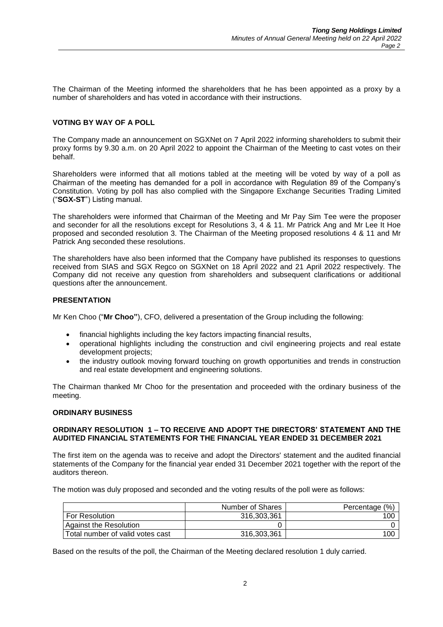The Chairman of the Meeting informed the shareholders that he has been appointed as a proxy by a number of shareholders and has voted in accordance with their instructions.

## **VOTING BY WAY OF A POLL**

The Company made an announcement on SGXNet on 7 April 2022 informing shareholders to submit their proxy forms by 9.30 a.m. on 20 April 2022 to appoint the Chairman of the Meeting to cast votes on their behalf.

Shareholders were informed that all motions tabled at the meeting will be voted by way of a poll as Chairman of the meeting has demanded for a poll in accordance with Regulation 89 of the Company's Constitution. Voting by poll has also complied with the Singapore Exchange Securities Trading Limited ("**SGX-ST**") Listing manual.

The shareholders were informed that Chairman of the Meeting and Mr Pay Sim Tee were the proposer and seconder for all the resolutions except for Resolutions 3, 4 & 11. Mr Patrick Ang and Mr Lee It Hoe proposed and seconded resolution 3. The Chairman of the Meeting proposed resolutions 4 & 11 and Mr Patrick Ang seconded these resolutions.

The shareholders have also been informed that the Company have published its responses to questions received from SIAS and SGX Regco on SGXNet on 18 April 2022 and 21 April 2022 respectively. The Company did not receive any question from shareholders and subsequent clarifications or additional questions after the announcement.

## **PRESENTATION**

Mr Ken Choo ("**Mr Choo"**), CFO, delivered a presentation of the Group including the following:

- financial highlights including the key factors impacting financial results,
- operational highlights including the construction and civil engineering projects and real estate development projects;
- the industry outlook moving forward touching on growth opportunities and trends in construction and real estate development and engineering solutions.

The Chairman thanked Mr Choo for the presentation and proceeded with the ordinary business of the meeting.

### **ORDINARY BUSINESS**

### **ORDINARY RESOLUTION 1 – TO RECEIVE AND ADOPT THE DIRECTORS' STATEMENT AND THE AUDITED FINANCIAL STATEMENTS FOR THE FINANCIAL YEAR ENDED 31 DECEMBER 2021**

The first item on the agenda was to receive and adopt the Directors' statement and the audited financial statements of the Company for the financial year ended 31 December 2021 together with the report of the auditors thereon.

The motion was duly proposed and seconded and the voting results of the poll were as follows:

|                                  | Number of Shares | Percentage (%) |
|----------------------------------|------------------|----------------|
| <b>For Resolution</b>            | 316.303.361      | 100            |
| Against the Resolution           |                  |                |
| Total number of valid votes cast | 316,303,361      | 100            |

Based on the results of the poll, the Chairman of the Meeting declared resolution 1 duly carried.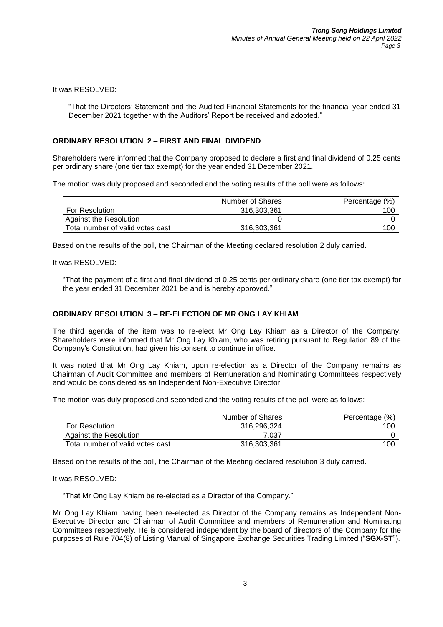It was RESOLVED:

"That the Directors' Statement and the Audited Financial Statements for the financial year ended 31 December 2021 together with the Auditors' Report be received and adopted."

# **ORDINARY RESOLUTION 2 – FIRST AND FINAL DIVIDEND**

Shareholders were informed that the Company proposed to declare a first and final dividend of 0.25 cents per ordinary share (one tier tax exempt) for the year ended 31 December 2021.

The motion was duly proposed and seconded and the voting results of the poll were as follows:

|                                  | Number of Shares | Percentage (%) |
|----------------------------------|------------------|----------------|
| For Resolution                   | 316.303.361      | 100            |
| Against the Resolution           |                  |                |
| Total number of valid votes cast | 316,303,361      | 100            |

Based on the results of the poll, the Chairman of the Meeting declared resolution 2 duly carried.

It was RESOLVED:

"That the payment of a first and final dividend of 0.25 cents per ordinary share (one tier tax exempt) for the year ended 31 December 2021 be and is hereby approved."

# **ORDINARY RESOLUTION 3 – RE-ELECTION OF MR ONG LAY KHIAM**

The third agenda of the item was to re-elect Mr Ong Lay Khiam as a Director of the Company. Shareholders were informed that Mr Ong Lay Khiam, who was retiring pursuant to Regulation 89 of the Company's Constitution, had given his consent to continue in office.

It was noted that Mr Ong Lay Khiam, upon re-election as a Director of the Company remains as Chairman of Audit Committee and members of Remuneration and Nominating Committees respectively and would be considered as an Independent Non-Executive Director.

The motion was duly proposed and seconded and the voting results of the poll were as follows:

|                                  | Number of Shares | (% )<br>Percentage |
|----------------------------------|------------------|--------------------|
| <b>For Resolution</b>            | 316,296,324      | 100                |
| Against the Resolution           | 7.037            |                    |
| Total number of valid votes cast | 316,303,361      | 100                |

Based on the results of the poll, the Chairman of the Meeting declared resolution 3 duly carried.

It was RESOLVED:

"That Mr Ong Lay Khiam be re-elected as a Director of the Company."

Mr Ong Lay Khiam having been re-elected as Director of the Company remains as Independent Non-Executive Director and Chairman of Audit Committee and members of Remuneration and Nominating Committees respectively. He is considered independent by the board of directors of the Company for the purposes of Rule 704(8) of Listing Manual of Singapore Exchange Securities Trading Limited ("**SGX-ST**").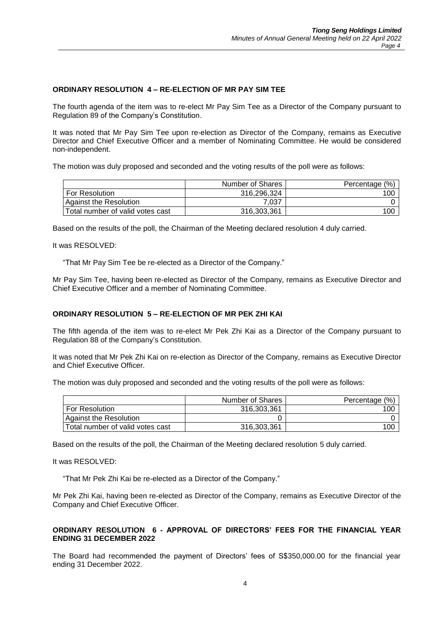# **ORDINARY RESOLUTION 4 – RE-ELECTION OF MR PAY SIM TEE**

The fourth agenda of the item was to re-elect Mr Pay Sim Tee as a Director of the Company pursuant to Regulation 89 of the Company's Constitution.

It was noted that Mr Pay Sim Tee upon re-election as Director of the Company, remains as Executive Director and Chief Executive Officer and a member of Nominating Committee. He would be considered non-independent.

The motion was duly proposed and seconded and the voting results of the poll were as follows:

|                                  | Number of Shares | Percentage (%) |
|----------------------------------|------------------|----------------|
| For Resolution                   | 316.296.324      | 100            |
| Against the Resolution           | 7.037            |                |
| Total number of valid votes cast | 316.303.361      | 100            |

Based on the results of the poll, the Chairman of the Meeting declared resolution 4 duly carried.

It was RESOLVED:

"That Mr Pay Sim Tee be re-elected as a Director of the Company."

Mr Pay Sim Tee, having been re-elected as Director of the Company, remains as Executive Director and Chief Executive Officer and a member of Nominating Committee.

## **ORDINARY RESOLUTION 5 – RE-ELECTION OF MR PEK ZHI KAI**

The fifth agenda of the item was to re-elect Mr Pek Zhi Kai as a Director of the Company pursuant to Regulation 88 of the Company's Constitution.

It was noted that Mr Pek Zhi Kai on re-election as Director of the Company, remains as Executive Director and Chief Executive Officer.

The motion was duly proposed and seconded and the voting results of the poll were as follows:

|                                  | Number of Shares | Percentage (%) |
|----------------------------------|------------------|----------------|
| <b>For Resolution</b>            | 316,303,361      | 100            |
| Against the Resolution           |                  |                |
| Total number of valid votes cast | 316,303,361      | 100            |

Based on the results of the poll, the Chairman of the Meeting declared resolution 5 duly carried.

It was RESOLVED:

"That Mr Pek Zhi Kai be re-elected as a Director of the Company."

Mr Pek Zhi Kai, having been re-elected as Director of the Company, remains as Executive Director of the Company and Chief Executive Officer.

## **ORDINARY RESOLUTION 6 - APPROVAL OF DIRECTORS' FEES FOR THE FINANCIAL YEAR ENDING 31 DECEMBER 2022**

The Board had recommended the payment of Directors' fees of S\$350,000.00 for the financial year ending 31 December 2022.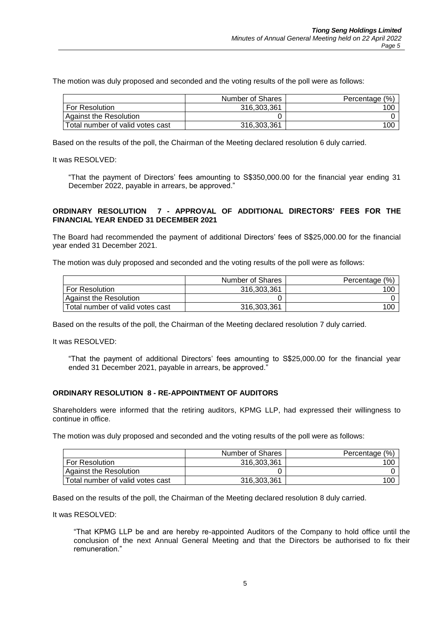The motion was duly proposed and seconded and the voting results of the poll were as follows:

|                                  | Number of Shares | Percentage (%) |
|----------------------------------|------------------|----------------|
| For Resolution                   | 316,303,361      | 100            |
| Against the Resolution           |                  |                |
| Total number of valid votes cast | 316,303,361      | 100            |

Based on the results of the poll, the Chairman of the Meeting declared resolution 6 duly carried.

It was RESOLVED:

"That the payment of Directors' fees amounting to S\$350,000.00 for the financial year ending 31 December 2022, payable in arrears, be approved."

## **ORDINARY RESOLUTION 7 - APPROVAL OF ADDITIONAL DIRECTORS' FEES FOR THE FINANCIAL YEAR ENDED 31 DECEMBER 2021**

The Board had recommended the payment of additional Directors' fees of S\$25,000.00 for the financial year ended 31 December 2021.

The motion was duly proposed and seconded and the voting results of the poll were as follows:

|                                  | Number of Shares | Percentage (%) |
|----------------------------------|------------------|----------------|
| For Resolution                   | 316.303.361      | 100            |
| Against the Resolution           |                  |                |
| Total number of valid votes cast | 316,303,361      | 100            |

Based on the results of the poll, the Chairman of the Meeting declared resolution 7 duly carried.

It was RESOLVED:

"That the payment of additional Directors' fees amounting to S\$25,000.00 for the financial year ended 31 December 2021, payable in arrears, be approved."

### **ORDINARY RESOLUTION 8 - RE-APPOINTMENT OF AUDITORS**

Shareholders were informed that the retiring auditors, KPMG LLP, had expressed their willingness to continue in office.

The motion was duly proposed and seconded and the voting results of the poll were as follows:

|                                  | Number of Shares | Percentage (%) |
|----------------------------------|------------------|----------------|
| <b>For Resolution</b>            | 316.303.361      | 100            |
| Against the Resolution           |                  |                |
| Total number of valid votes cast | 316,303,361      | 100            |

Based on the results of the poll, the Chairman of the Meeting declared resolution 8 duly carried.

It was RESOLVED:

"That KPMG LLP be and are hereby re-appointed Auditors of the Company to hold office until the conclusion of the next Annual General Meeting and that the Directors be authorised to fix their remuneration."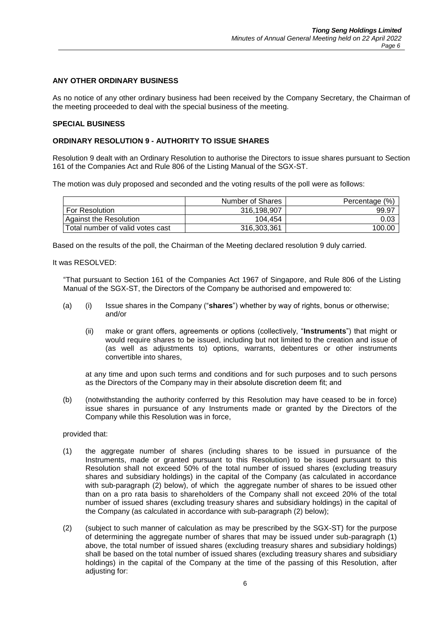## **ANY OTHER ORDINARY BUSINESS**

As no notice of any other ordinary business had been received by the Company Secretary, the Chairman of the meeting proceeded to deal with the special business of the meeting.

#### **SPECIAL BUSINESS**

## **ORDINARY RESOLUTION 9 - AUTHORITY TO ISSUE SHARES**

Resolution 9 dealt with an Ordinary Resolution to authorise the Directors to issue shares pursuant to Section 161 of the Companies Act and Rule 806 of the Listing Manual of the SGX-ST.

The motion was duly proposed and seconded and the voting results of the poll were as follows:

|                                  | Number of Shares | Percentage (%) |
|----------------------------------|------------------|----------------|
| <b>For Resolution</b>            | 316.198.907      | 99.97          |
| Against the Resolution           | 104.454          | 0.03           |
| Total number of valid votes cast | 316,303,361      | 100.00         |

Based on the results of the poll, the Chairman of the Meeting declared resolution 9 duly carried.

It was RESOLVED:

"That pursuant to Section 161 of the Companies Act 1967 of Singapore, and Rule 806 of the Listing Manual of the SGX-ST, the Directors of the Company be authorised and empowered to:

- (a) (i) Issue shares in the Company ("**shares**") whether by way of rights, bonus or otherwise; and/or
	- (ii) make or grant offers, agreements or options (collectively, "**Instruments**") that might or would require shares to be issued, including but not limited to the creation and issue of (as well as adjustments to) options, warrants, debentures or other instruments convertible into shares,

at any time and upon such terms and conditions and for such purposes and to such persons as the Directors of the Company may in their absolute discretion deem fit; and

(b) (notwithstanding the authority conferred by this Resolution may have ceased to be in force) issue shares in pursuance of any Instruments made or granted by the Directors of the Company while this Resolution was in force,

provided that:

- (1) the aggregate number of shares (including shares to be issued in pursuance of the Instruments, made or granted pursuant to this Resolution) to be issued pursuant to this Resolution shall not exceed 50% of the total number of issued shares (excluding treasury shares and subsidiary holdings) in the capital of the Company (as calculated in accordance with sub-paragraph (2) below), of which the aggregate number of shares to be issued other than on a pro rata basis to shareholders of the Company shall not exceed 20% of the total number of issued shares (excluding treasury shares and subsidiary holdings) in the capital of the Company (as calculated in accordance with sub-paragraph (2) below);
- (2) (subject to such manner of calculation as may be prescribed by the SGX-ST) for the purpose of determining the aggregate number of shares that may be issued under sub-paragraph (1) above, the total number of issued shares (excluding treasury shares and subsidiary holdings) shall be based on the total number of issued shares (excluding treasury shares and subsidiary holdings) in the capital of the Company at the time of the passing of this Resolution, after adjusting for: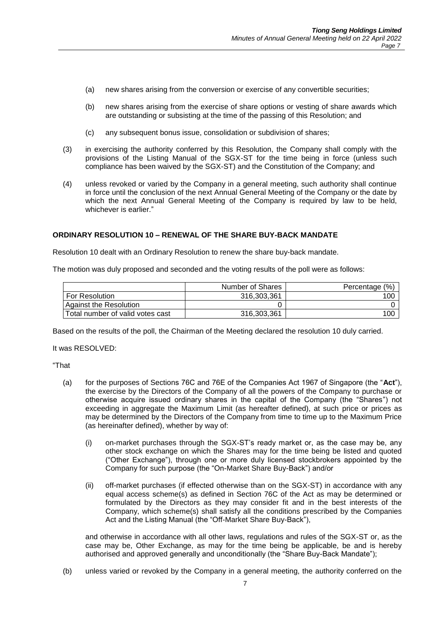- (a) new shares arising from the conversion or exercise of any convertible securities;
- (b) new shares arising from the exercise of share options or vesting of share awards which are outstanding or subsisting at the time of the passing of this Resolution; and
- (c) any subsequent bonus issue, consolidation or subdivision of shares;
- (3) in exercising the authority conferred by this Resolution, the Company shall comply with the provisions of the Listing Manual of the SGX-ST for the time being in force (unless such compliance has been waived by the SGX-ST) and the Constitution of the Company; and
- (4) unless revoked or varied by the Company in a general meeting, such authority shall continue in force until the conclusion of the next Annual General Meeting of the Company or the date by which the next Annual General Meeting of the Company is required by law to be held, whichever is earlier."

### **ORDINARY RESOLUTION 10 – RENEWAL OF THE SHARE BUY-BACK MANDATE**

Resolution 10 dealt with an Ordinary Resolution to renew the share buy-back mandate.

The motion was duly proposed and seconded and the voting results of the poll were as follows:

|                                  | Number of Shares | Percentage (%) |
|----------------------------------|------------------|----------------|
| For Resolution                   | 316.303.361      | 100            |
| Against the Resolution           |                  |                |
| Total number of valid votes cast | 316,303,361      | 100            |

Based on the results of the poll, the Chairman of the Meeting declared the resolution 10 duly carried.

It was RESOLVED:

"That

- (a) for the purposes of Sections 76C and 76E of the Companies Act 1967 of Singapore (the "**Act**"), the exercise by the Directors of the Company of all the powers of the Company to purchase or otherwise acquire issued ordinary shares in the capital of the Company (the "Shares") not exceeding in aggregate the Maximum Limit (as hereafter defined), at such price or prices as may be determined by the Directors of the Company from time to time up to the Maximum Price (as hereinafter defined), whether by way of:
	- (i) on-market purchases through the SGX-ST's ready market or, as the case may be, any other stock exchange on which the Shares may for the time being be listed and quoted ("Other Exchange"), through one or more duly licensed stockbrokers appointed by the Company for such purpose (the "On-Market Share Buy-Back") and/or
	- (ii) off-market purchases (if effected otherwise than on the SGX-ST) in accordance with any equal access scheme(s) as defined in Section 76C of the Act as may be determined or formulated by the Directors as they may consider fit and in the best interests of the Company, which scheme(s) shall satisfy all the conditions prescribed by the Companies Act and the Listing Manual (the "Off-Market Share Buy-Back"),

and otherwise in accordance with all other laws, regulations and rules of the SGX-ST or, as the case may be, Other Exchange, as may for the time being be applicable, be and is hereby authorised and approved generally and unconditionally (the "Share Buy-Back Mandate");

(b) unless varied or revoked by the Company in a general meeting, the authority conferred on the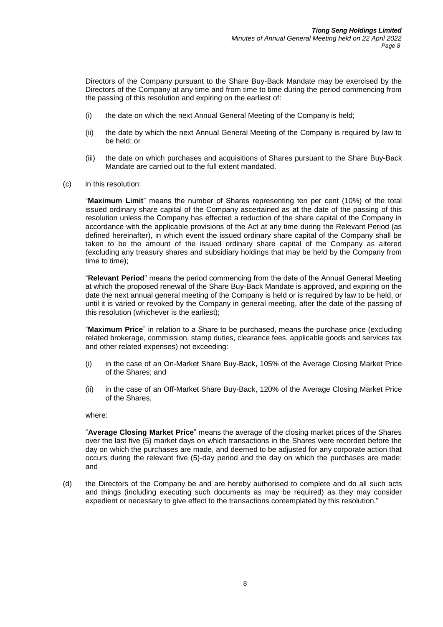Directors of the Company pursuant to the Share Buy-Back Mandate may be exercised by the Directors of the Company at any time and from time to time during the period commencing from the passing of this resolution and expiring on the earliest of:

- (i) the date on which the next Annual General Meeting of the Company is held;
- (ii) the date by which the next Annual General Meeting of the Company is required by law to be held; or
- (iii) the date on which purchases and acquisitions of Shares pursuant to the Share Buy-Back Mandate are carried out to the full extent mandated.
- (c) in this resolution:

"**Maximum Limit**" means the number of Shares representing ten per cent (10%) of the total issued ordinary share capital of the Company ascertained as at the date of the passing of this resolution unless the Company has effected a reduction of the share capital of the Company in accordance with the applicable provisions of the Act at any time during the Relevant Period (as defined hereinafter), in which event the issued ordinary share capital of the Company shall be taken to be the amount of the issued ordinary share capital of the Company as altered (excluding any treasury shares and subsidiary holdings that may be held by the Company from time to time);

"**Relevant Period**" means the period commencing from the date of the Annual General Meeting at which the proposed renewal of the Share Buy-Back Mandate is approved, and expiring on the date the next annual general meeting of the Company is held or is required by law to be held, or until it is varied or revoked by the Company in general meeting, after the date of the passing of this resolution (whichever is the earliest);

"**Maximum Price**" in relation to a Share to be purchased, means the purchase price (excluding related brokerage, commission, stamp duties, clearance fees, applicable goods and services tax and other related expenses) not exceeding:

- (i) in the case of an On-Market Share Buy-Back, 105% of the Average Closing Market Price of the Shares; and
- (ii) in the case of an Off-Market Share Buy-Back, 120% of the Average Closing Market Price of the Shares,

where:

"**Average Closing Market Price**" means the average of the closing market prices of the Shares over the last five (5) market days on which transactions in the Shares were recorded before the day on which the purchases are made, and deemed to be adjusted for any corporate action that occurs during the relevant five (5)-day period and the day on which the purchases are made; and

(d) the Directors of the Company be and are hereby authorised to complete and do all such acts and things (including executing such documents as may be required) as they may consider expedient or necessary to give effect to the transactions contemplated by this resolution."